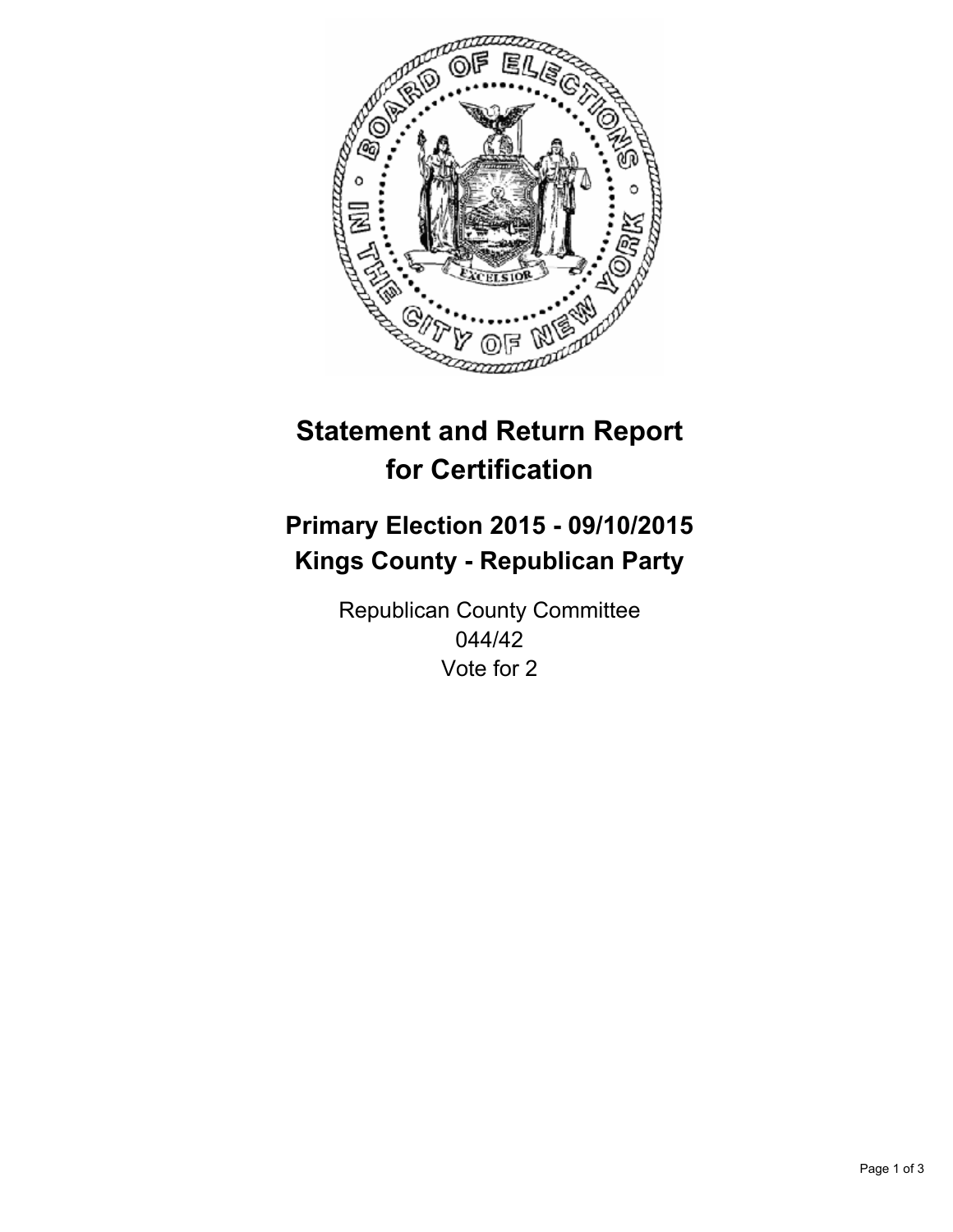

# **Statement and Return Report for Certification**

## **Primary Election 2015 - 09/10/2015 Kings County - Republican Party**

Republican County Committee 044/42 Vote for 2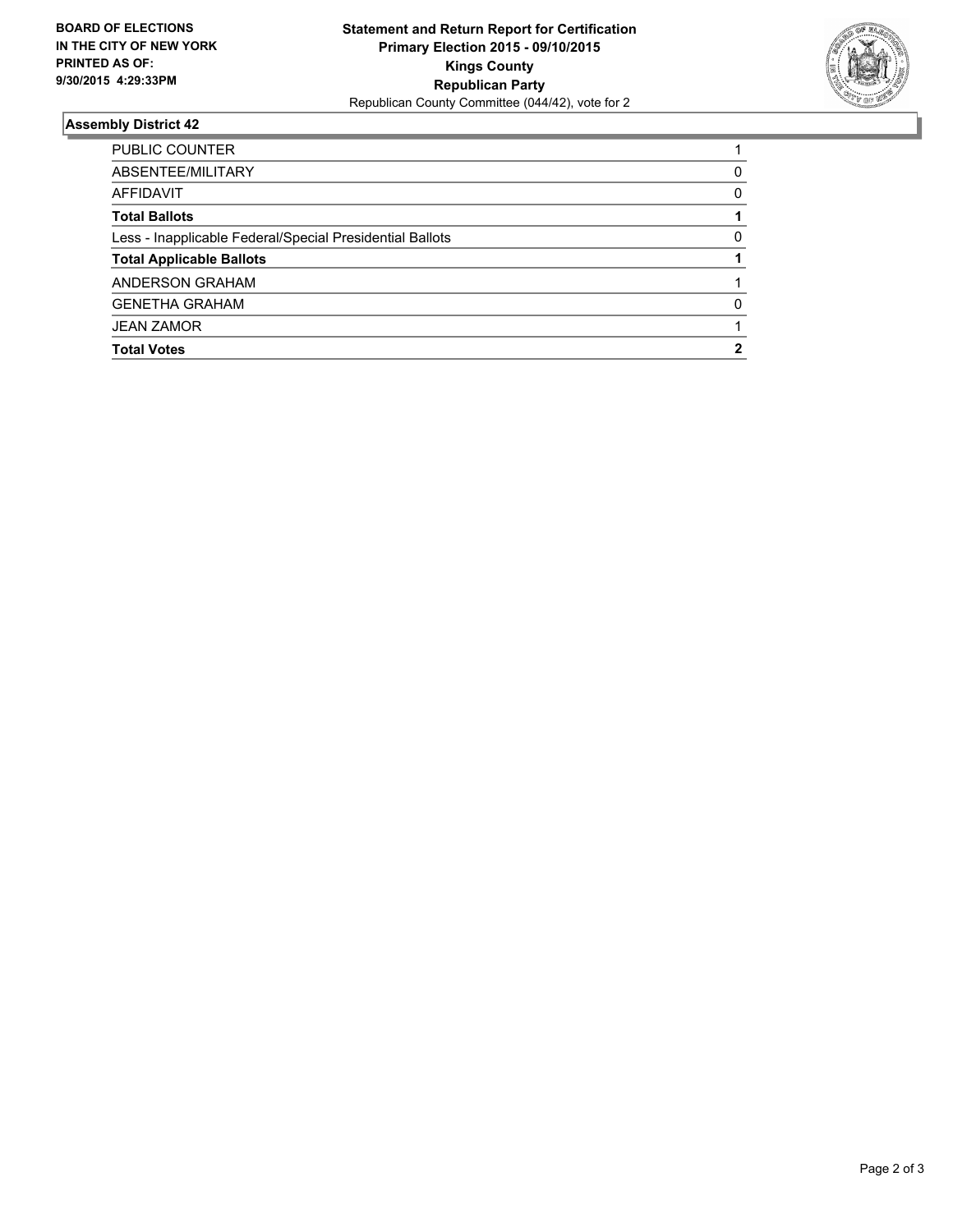

### **Assembly District 42**

| <b>PUBLIC COUNTER</b>                                    |   |
|----------------------------------------------------------|---|
| ABSENTEE/MILITARY                                        | 0 |
| AFFIDAVIT                                                | 0 |
| <b>Total Ballots</b>                                     |   |
| Less - Inapplicable Federal/Special Presidential Ballots | 0 |
| <b>Total Applicable Ballots</b>                          |   |
| ANDERSON GRAHAM                                          |   |
| <b>GENETHA GRAHAM</b>                                    | 0 |
| <b>JEAN ZAMOR</b>                                        |   |
| <b>Total Votes</b>                                       | 2 |